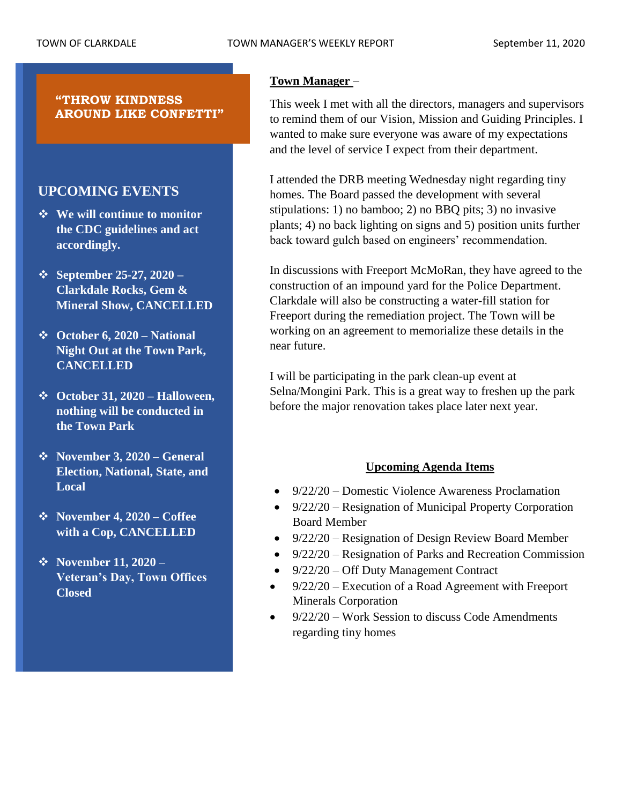# **"THROW KINDNESS AROUND LIKE CONFETTI"**

# **UPCOMING EVENTS**

- ❖ **We will continue to monitor the CDC guidelines and act accordingly.**
- ❖ **September 25-27, 2020 – Clarkdale Rocks, Gem & Mineral Show, CANCELLED**
- ❖ **October 6, 2020 – National Night Out at the Town Park, CANCELLED**
- ❖ **October 31, 2020 – Halloween, nothing will be conducted in the Town Park**
- ❖ **November 3, 2020 – General Election, National, State, and Local**
- ❖ **November 4, 2020 – Coffee with a Cop, CANCELLED**
- ❖ **November 11, 2020 – Veteran's Day, Town Offices Closed**

# **Town Manager** –

This week I met with all the directors, managers and supervisors to remind them of our Vision, Mission and Guiding Principles. I wanted to make sure everyone was aware of my expectations and the level of service I expect from their department.

I attended the DRB meeting Wednesday night regarding tiny homes. The Board passed the development with several stipulations: 1) no bamboo; 2) no BBQ pits; 3) no invasive plants; 4) no back lighting on signs and 5) position units further back toward gulch based on engineers' recommendation.

In discussions with Freeport McMoRan, they have agreed to the construction of an impound yard for the Police Department. Clarkdale will also be constructing a water-fill station for Freeport during the remediation project. The Town will be working on an agreement to memorialize these details in the near future.

I will be participating in the park clean-up event at Selna/Mongini Park. This is a great way to freshen up the park before the major renovation takes place later next year.

# **Upcoming Agenda Items**

- 9/22/20 Domestic Violence Awareness Proclamation
- 9/22/20 Resignation of Municipal Property Corporation Board Member
- 9/22/20 Resignation of Design Review Board Member
- 9/22/20 Resignation of Parks and Recreation Commission
- 9/22/20 Off Duty Management Contract
- 9/22/20 Execution of a Road Agreement with Freeport Minerals Corporation
- 9/22/20 Work Session to discuss Code Amendments regarding tiny homes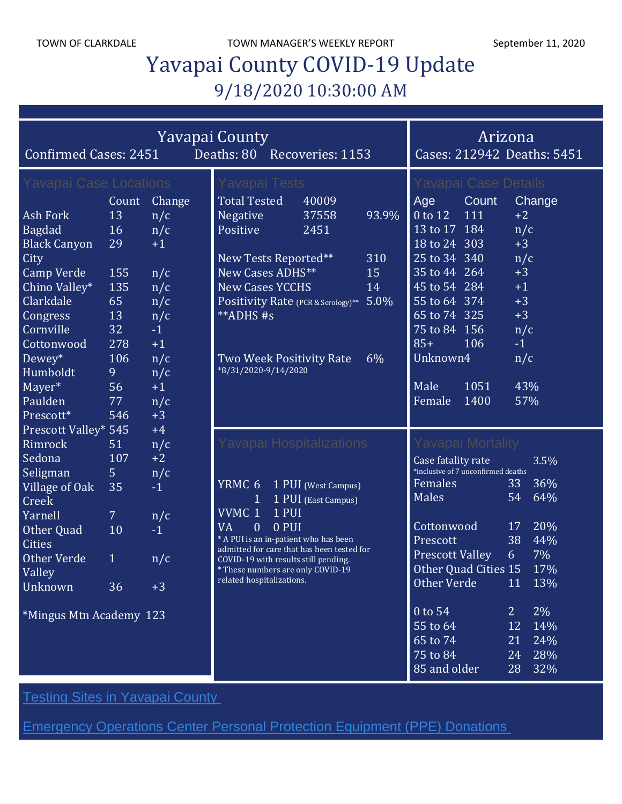TOWN OF CLARKDALE TOWN MANAGER'S WEEKLY REPORT September 11, 2020

# Yavapai County COVID-19 Update 9/18/2020 10:30:00 AM

| Confirmed Cases: 2451   | Arizona<br>Cases: 212942 Deaths: 5451 |        |                                                                                     |                     |       |                                    |                |        |
|-------------------------|---------------------------------------|--------|-------------------------------------------------------------------------------------|---------------------|-------|------------------------------------|----------------|--------|
| Yavapai Case Locations  |                                       |        | Yavapai Tests                                                                       |                     |       | Yavapai Case Details               |                |        |
|                         | Count                                 | Change | <b>Total Tested</b>                                                                 | 40009               |       | Age<br>Count                       |                | Change |
| Ash Fork                | 13                                    | n/c    | Negative                                                                            | 37558               | 93.9% | 0 to 12<br>111                     | $+2$           |        |
| <b>Bagdad</b>           | 16                                    | n/c    | Positive                                                                            | 2451                |       | 13 to 17 184                       | n/c            |        |
| <b>Black Canyon</b>     | 29                                    | $+1$   |                                                                                     |                     |       | 18 to 24 303                       | $+3$           |        |
| City                    |                                       |        | New Tests Reported**                                                                |                     | 310   | 25 to 34 340                       | n/c            |        |
| <b>Camp Verde</b>       | 155                                   | n/c    | New Cases ADHS**                                                                    |                     | 15    | 35 to 44 264                       | $+3$           |        |
| Chino Valley*           | 135                                   | n/c    | <b>New Cases YCCHS</b>                                                              |                     | 14    | 45 to 54 284                       | $+1$           |        |
| Clarkdale               | 65                                    | n/c    | Positivity Rate (PCR & Serology)**                                                  |                     | 5.0%  | 55 to 64 374                       | $+3$           |        |
| Congress                | 13                                    | n/c    | **ADHS#s                                                                            |                     |       | 65 to 74 325                       | $+3$           |        |
| Cornville               | 32                                    | $-1$   |                                                                                     |                     |       | 75 to 84 156                       | n/c            |        |
| Cottonwood              | 278                                   | $+1$   |                                                                                     |                     |       | $85+$<br>106                       | $-1$           |        |
| Dewey*                  | 106                                   | n/c    | Two Week Positivity Rate                                                            |                     | 6%    | Unknown4                           | n/c            |        |
| Humboldt                | 9                                     | n/c    | *8/31/2020-9/14/2020                                                                |                     |       |                                    |                |        |
| Mayer*                  | 56                                    | $+1$   |                                                                                     |                     |       | 1051<br>Male                       | 43%            |        |
| Paulden                 | 77                                    | n/c    |                                                                                     |                     |       | 1400<br>Female                     | 57%            |        |
| Prescott*               | 546                                   | $+3$   |                                                                                     |                     |       |                                    |                |        |
| Prescott Valley* 545    |                                       | $+4$   |                                                                                     |                     |       |                                    |                |        |
| Rimrock                 | 51                                    | n/c    | Yavapai Hospitalizations                                                            |                     |       | Yavapai Mortality                  |                |        |
| Sedona                  | 107                                   | $+2$   |                                                                                     |                     |       | Case fatality rate                 |                | 3.5%   |
| Seligman                | 5                                     | n/c    |                                                                                     |                     |       | *inclusive of 7 unconfirmed deaths |                |        |
| Village of Oak          | 35                                    | $-1$   | YRMC 6                                                                              | 1 PUI (West Campus) |       | Females                            | 33             | 36%    |
| Creek                   |                                       |        | 1                                                                                   | 1 PUI (East Campus) |       | Males                              | 54             | 64%    |
| Yarnell                 | $\mathcal{I}$                         | n/c    | VVMC 1<br>1 PUI                                                                     |                     |       |                                    |                |        |
| Other Quad              | 10                                    | $-1$   | 0 PUI<br>VA<br>0                                                                    |                     |       | Cottonwood                         | 17             | 20%    |
| <b>Cities</b>           |                                       |        | * A PUI is an in-patient who has been<br>admitted for care that has been tested for |                     |       | Prescott                           | 38             | 44%    |
| <b>Other Verde</b>      | $\mathbf{1}$                          | n/c    | COVID-19 with results still pending.                                                |                     |       | <b>Prescott Valley</b>             | 6              | 7%     |
| <b>Valley</b>           |                                       |        | * These numbers are only COVID-19<br>related hospitalizations.                      |                     |       | Other Quad Cities 15 17%           |                |        |
| Unknown                 | 36                                    | $+3$   |                                                                                     |                     |       | Other Verde                        |                | 11 13% |
| *Mingus Mtn Academy 123 |                                       |        |                                                                                     |                     |       | 0 to 54                            | 2 <sup>1</sup> | $2\%$  |
|                         |                                       |        |                                                                                     |                     |       | 55 to 64                           | 12             | 14%    |
|                         |                                       |        |                                                                                     |                     |       | 65 to 74                           | 21             | 24%    |
|                         |                                       |        |                                                                                     |                     |       | 75 to 84                           | 24             | 28%    |
|                         |                                       |        |                                                                                     |                     |       | 85 and older                       | 28             | 32%    |

**Testing Sites in [Yavapai](https://www.yavapai.us/Portals/39/COVID-19/TestingSitesinYavapaiCounty.pdf) County** 

[Emergency](http://www.yavapai.us/Portals/39/PPE%20Donations.pdf) Operations Center Personal Protection Equipment (PPE) Donations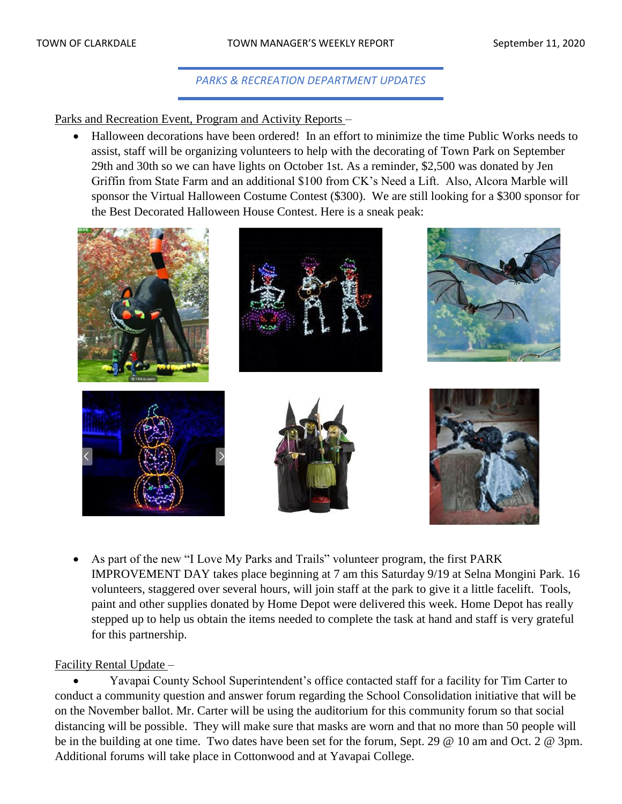# *PARKS & RECREATION DEPARTMENT UPDATES*

Parks and Recreation Event, Program and Activity Reports –

• Halloween decorations have been ordered! In an effort to minimize the time Public Works needs to assist, staff will be organizing volunteers to help with the decorating of Town Park on September 29th and 30th so we can have lights on October 1st. As a reminder, \$2,500 was donated by Jen Griffin from State Farm and an additional \$100 from CK's Need a Lift. Also, Alcora Marble will sponsor the Virtual Halloween Costume Contest (\$300). We are still looking for a \$300 sponsor for the Best Decorated Halloween House Contest. Here is a sneak peak:



• As part of the new "I Love My Parks and Trails" volunteer program, the first PARK IMPROVEMENT DAY takes place beginning at 7 am this Saturday 9/19 at Selna Mongini Park. 16 volunteers, staggered over several hours, will join staff at the park to give it a little facelift. Tools, paint and other supplies donated by Home Depot were delivered this week. Home Depot has really stepped up to help us obtain the items needed to complete the task at hand and staff is very grateful for this partnership.

# Facility Rental Update –

• Yavapai County School Superintendent's office contacted staff for a facility for Tim Carter to conduct a community question and answer forum regarding the School Consolidation initiative that will be on the November ballot. Mr. Carter will be using the auditorium for this community forum so that social distancing will be possible. They will make sure that masks are worn and that no more than 50 people will be in the building at one time. Two dates have been set for the forum, Sept. 29 @ 10 am and Oct. 2 @ 3pm. Additional forums will take place in Cottonwood and at Yavapai College.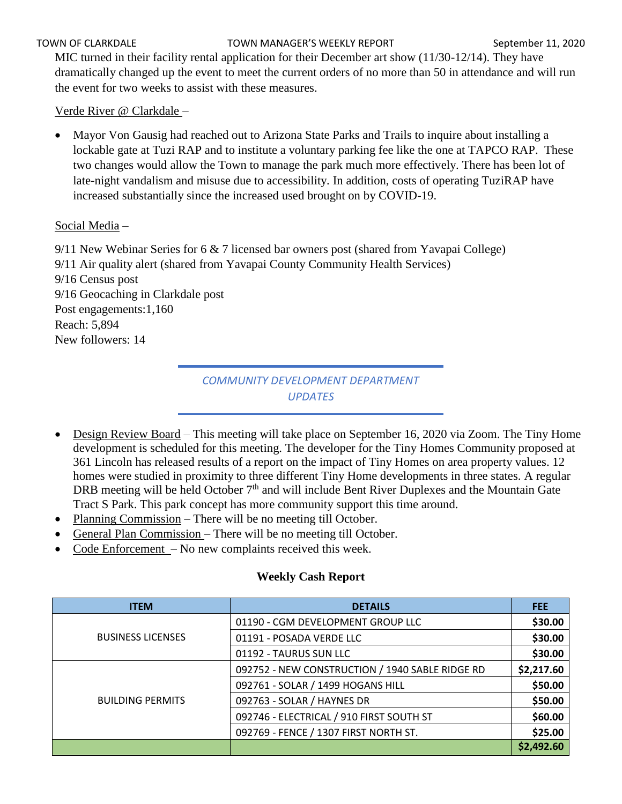#### TOWN OF CLARKDALE TOWN MANAGER'S WEEKLY REPORT September 11, 2020

MIC turned in their facility rental application for their December art show (11/30-12/14). They have dramatically changed up the event to meet the current orders of no more than 50 in attendance and will run the event for two weeks to assist with these measures.

Verde River @ Clarkdale –

• Mayor Von Gausig had reached out to Arizona State Parks and Trails to inquire about installing a lockable gate at Tuzi RAP and to institute a voluntary parking fee like the one at TAPCO RAP. These two changes would allow the Town to manage the park much more effectively. There has been lot of late-night vandalism and misuse due to accessibility. In addition, costs of operating TuziRAP have increased substantially since the increased used brought on by COVID-19.

# Social Media –

9/11 New Webinar Series for 6 & 7 licensed bar owners post (shared from Yavapai College) 9/11 Air quality alert (shared from Yavapai County Community Health Services) 9/16 Census post 9/16 Geocaching in Clarkdale post Post engagements:1,160 Reach: 5,894 New followers: 14

# *COMMUNITY DEVELOPMENT DEPARTMENT UPDATES*

- Design Review Board This meeting will take place on September 16, 2020 via Zoom. The Tiny Home development is scheduled for this meeting. The developer for the Tiny Homes Community proposed at 361 Lincoln has released results of a report on the impact of Tiny Homes on area property values. 12 homes were studied in proximity to three different Tiny Home developments in three states. A regular DRB meeting will be held October  $7<sup>th</sup>$  and will include Bent River Duplexes and the Mountain Gate Tract S Park. This park concept has more community support this time around.
- Planning Commission There will be no meeting till October.
- General Plan Commission There will be no meeting till October.
- Code Enforcement No new complaints received this week.

# **Weekly Cash Report**

| <b>ITEM</b>              | <b>DETAILS</b>                                  | <b>FEE</b> |
|--------------------------|-------------------------------------------------|------------|
|                          | 01190 - CGM DEVELOPMENT GROUP LLC               | \$30.00    |
| <b>BUSINESS LICENSES</b> | 01191 - POSADA VERDE LLC                        | \$30.00    |
|                          | 01192 - TAURUS SUN LLC                          | \$30.00    |
|                          | 092752 - NEW CONSTRUCTION / 1940 SABLE RIDGE RD | \$2,217.60 |
|                          | 092761 - SOLAR / 1499 HOGANS HILL               | \$50.00    |
| <b>BUILDING PERMITS</b>  | 092763 - SOLAR / HAYNES DR                      | \$50.00    |
|                          | 092746 - ELECTRICAL / 910 FIRST SOUTH ST        | \$60.00    |
|                          | 092769 - FENCE / 1307 FIRST NORTH ST.           | \$25.00    |
|                          |                                                 | \$2,492.60 |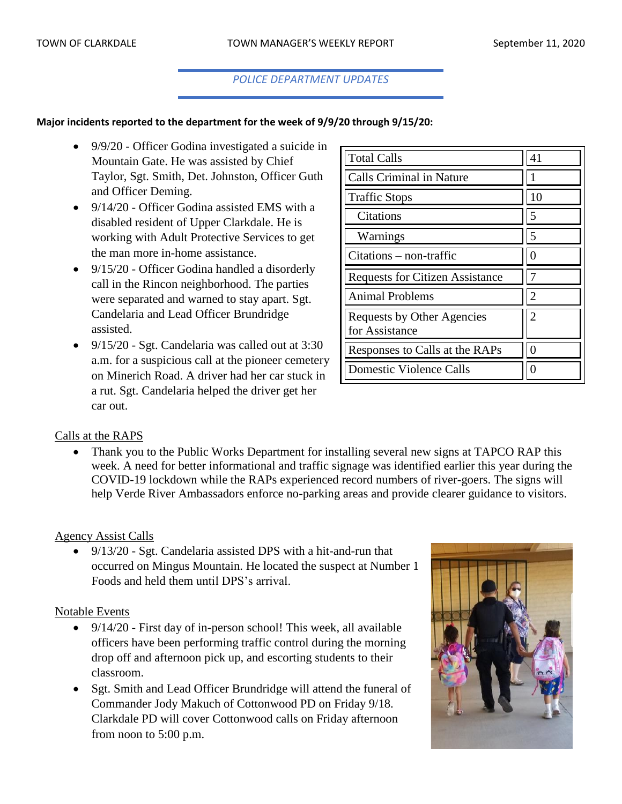### *POLICE DEPARTMENT UPDATES*

# **Major incidents reported to the department for the week of 9/9/20 through 9/15/20:**

- 9/9/20 Officer Godina investigated a suicide in Mountain Gate. He was assisted by Chief Taylor, Sgt. Smith, Det. Johnston, Officer Guth and Officer Deming.
- 9/14/20 Officer Godina assisted EMS with a disabled resident of Upper Clarkdale. He is working with Adult Protective Services to get the man more in-home assistance.
- 9/15/20 Officer Godina handled a disorderly call in the Rincon neighborhood. The parties were separated and warned to stay apart. Sgt. Candelaria and Lead Officer Brundridge assisted.
- 9/15/20 Sgt. Candelaria was called out at 3:30 a.m. for a suspicious call at the pioneer cemetery on Minerich Road. A driver had her car stuck in a rut. Sgt. Candelaria helped the driver get her car out.

| <b>Total Calls</b>                           | 41 |
|----------------------------------------------|----|
| <b>Calls Criminal in Nature</b>              |    |
| <b>Traffic Stops</b>                         | 10 |
| Citations                                    | 5  |
| Warnings                                     | 5  |
| $Citations - non-traffic$                    |    |
| <b>Requests for Citizen Assistance</b>       |    |
| <b>Animal Problems</b>                       | 2  |
| Requests by Other Agencies<br>for Assistance | 2  |
| Responses to Calls at the RAPs               |    |
| <b>Domestic Violence Calls</b>               |    |

#### Calls at the RAPS

Thank you to the Public Works Department for installing several new signs at TAPCO RAP this week. A need for better informational and traffic signage was identified earlier this year during the COVID-19 lockdown while the RAPs experienced record numbers of river-goers. The signs will help Verde River Ambassadors enforce no-parking areas and provide clearer guidance to visitors.

#### Agency Assist Calls

• 9/13/20 - Sgt. Candelaria assisted DPS with a hit-and-run that occurred on Mingus Mountain. He located the suspect at Number 1 Foods and held them until DPS's arrival.

#### Notable Events

- 9/14/20 First day of in-person school! This week, all available officers have been performing traffic control during the morning drop off and afternoon pick up, and escorting students to their classroom.
- Sgt. Smith and Lead Officer Brundridge will attend the funeral of Commander Jody Makuch of Cottonwood PD on Friday 9/18. Clarkdale PD will cover Cottonwood calls on Friday afternoon from noon to 5:00 p.m.